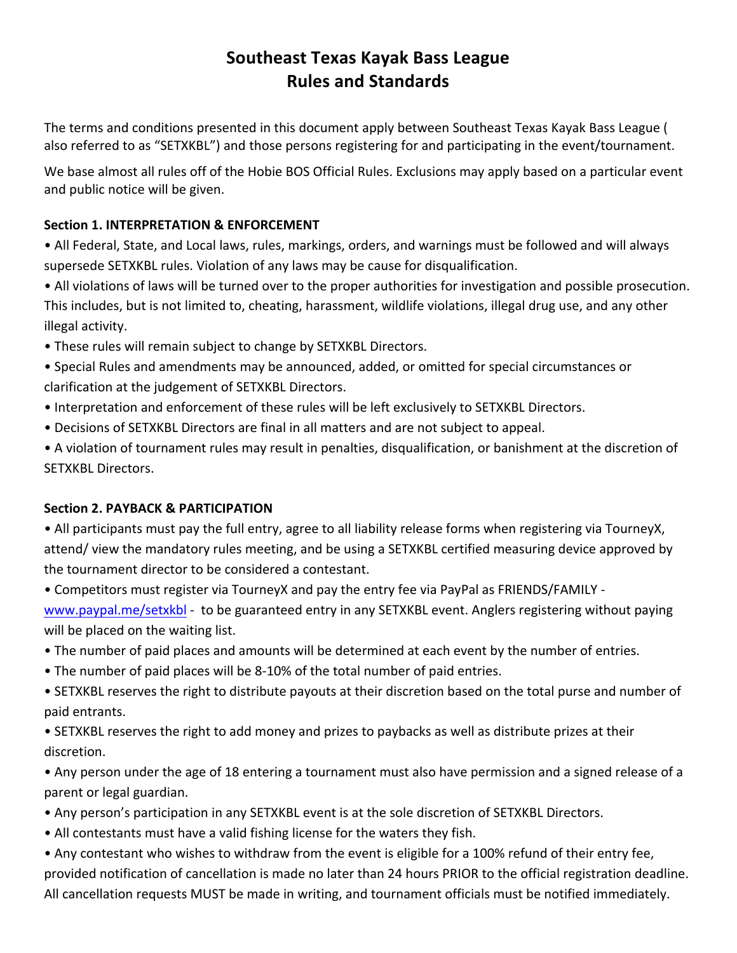# **Southeast Texas Kayak Bass League Rules and Standards**

The terms and conditions presented in this document apply between Southeast Texas Kayak Bass League ( also referred to as "SETXKBL") and those persons registering for and participating in the event/tournament.

We base almost all rules off of the Hobie BOS Official Rules. Exclusions may apply based on a particular event and public notice will be given.

## **Section 1. INTERPRETATION & ENFORCEMENT**

• All Federal, State, and Local laws, rules, markings, orders, and warnings must be followed and will always supersede SETXKBL rules. Violation of any laws may be cause for disqualification.

• All violations of laws will be turned over to the proper authorities for investigation and possible prosecution. This includes, but is not limited to, cheating, harassment, wildlife violations, illegal drug use, and any other illegal activity.

- These rules will remain subject to change by SETXKBL Directors.
- Special Rules and amendments may be announced, added, or omitted for special circumstances or clarification at the judgement of SETXKBL Directors.
- Interpretation and enforcement of these rules will be left exclusively to SETXKBL Directors.
- Decisions of SETXKBL Directors are final in all matters and are not subject to appeal.
- A violation of tournament rules may result in penalties, disqualification, or banishment at the discretion of SETXKBL Directors.

### **Section 2. PAYBACK & PARTICIPATION**

- All participants must pay the full entry, agree to all liability release forms when registering via TourneyX, attend/ view the mandatory rules meeting, and be using a SETXKBL certified measuring device approved by the tournament director to be considered a contestant.
- Competitors must register via TourneyX and pay the entry fee via PayPal as FRIENDS/FAMILY -

www.paypal.me/setxkbl - to be guaranteed entry in any SETXKBL event. Anglers registering without paying will be placed on the waiting list.

- The number of paid places and amounts will be determined at each event by the number of entries.
- The number of paid places will be 8-10% of the total number of paid entries.
- SETXKBL reserves the right to distribute payouts at their discretion based on the total purse and number of paid entrants.
- SETXKBL reserves the right to add money and prizes to paybacks as well as distribute prizes at their discretion.
- Any person under the age of 18 entering a tournament must also have permission and a signed release of a parent or legal guardian.
- Any person's participation in any SETXKBL event is at the sole discretion of SETXKBL Directors.
- All contestants must have a valid fishing license for the waters they fish.
- Any contestant who wishes to withdraw from the event is eligible for a 100% refund of their entry fee, provided notification of cancellation is made no later than 24 hours PRIOR to the official registration deadline. All cancellation requests MUST be made in writing, and tournament officials must be notified immediately.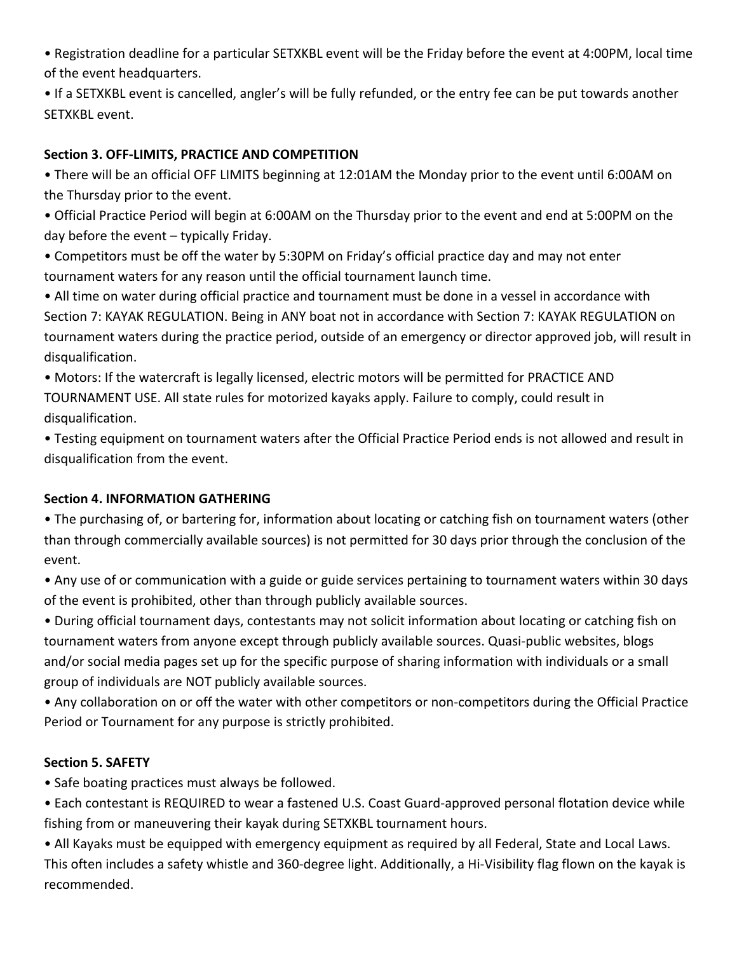• Registration deadline for a particular SETXKBL event will be the Friday before the event at 4:00PM, local time of the event headquarters.

• If a SETXKBL event is cancelled, angler's will be fully refunded, or the entry fee can be put towards another SETXKBL event. 

## **Section 3. OFF-LIMITS, PRACTICE AND COMPETITION**

• There will be an official OFF LIMITS beginning at 12:01AM the Monday prior to the event until 6:00AM on the Thursday prior to the event.

• Official Practice Period will begin at 6:00AM on the Thursday prior to the event and end at 5:00PM on the day before the event  $-$  typically Friday.

• Competitors must be off the water by 5:30PM on Friday's official practice day and may not enter tournament waters for any reason until the official tournament launch time.

• All time on water during official practice and tournament must be done in a vessel in accordance with Section 7: KAYAK REGULATION. Being in ANY boat not in accordance with Section 7: KAYAK REGULATION on tournament waters during the practice period, outside of an emergency or director approved job, will result in disqualification. 

• Motors: If the watercraft is legally licensed, electric motors will be permitted for PRACTICE AND TOURNAMENT USE. All state rules for motorized kayaks apply. Failure to comply, could result in disqualification. 

• Testing equipment on tournament waters after the Official Practice Period ends is not allowed and result in disqualification from the event.

### **Section 4. INFORMATION GATHERING**

• The purchasing of, or bartering for, information about locating or catching fish on tournament waters (other than through commercially available sources) is not permitted for 30 days prior through the conclusion of the event. 

• Any use of or communication with a guide or guide services pertaining to tournament waters within 30 days of the event is prohibited, other than through publicly available sources.

• During official tournament days, contestants may not solicit information about locating or catching fish on tournament waters from anyone except through publicly available sources. Quasi-public websites, blogs and/or social media pages set up for the specific purpose of sharing information with individuals or a small group of individuals are NOT publicly available sources.

• Any collaboration on or off the water with other competitors or non-competitors during the Official Practice Period or Tournament for any purpose is strictly prohibited.

### **Section 5. SAFETY**

• Safe boating practices must always be followed.

• Each contestant is REQUIRED to wear a fastened U.S. Coast Guard-approved personal flotation device while fishing from or maneuvering their kayak during SETXKBL tournament hours.

• All Kayaks must be equipped with emergency equipment as required by all Federal, State and Local Laws. This often includes a safety whistle and 360-degree light. Additionally, a Hi-Visibility flag flown on the kayak is recommended.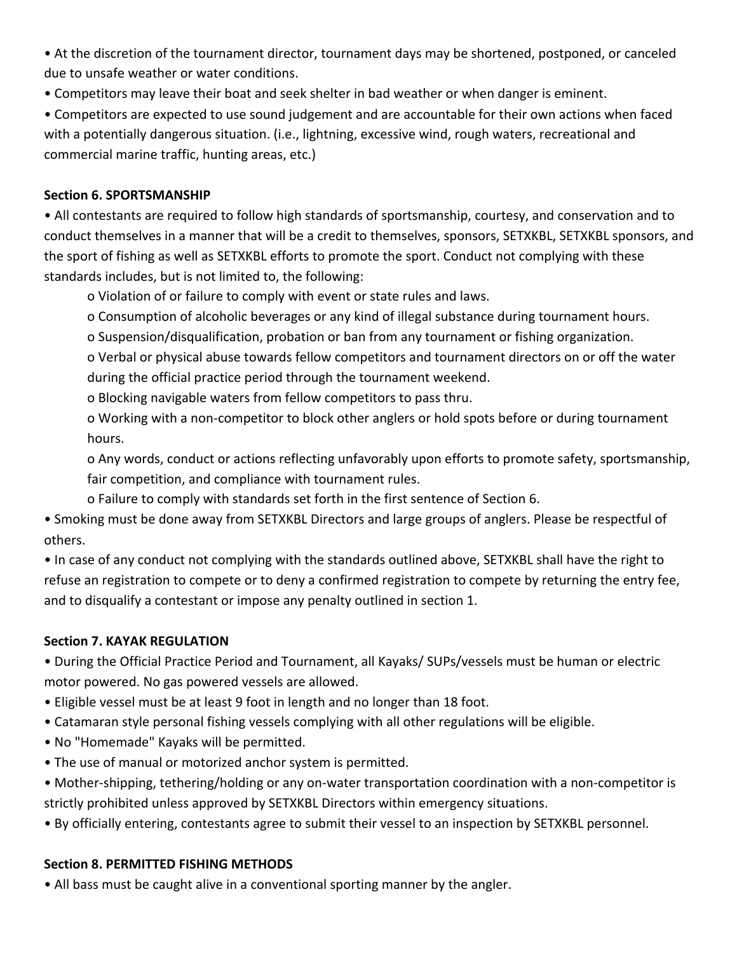• At the discretion of the tournament director, tournament days may be shortened, postponed, or canceled due to unsafe weather or water conditions.

• Competitors may leave their boat and seek shelter in bad weather or when danger is eminent.

• Competitors are expected to use sound judgement and are accountable for their own actions when faced with a potentially dangerous situation. (i.e., lightning, excessive wind, rough waters, recreational and commercial marine traffic, hunting areas, etc.)

#### **Section 6. SPORTSMANSHIP**

• All contestants are required to follow high standards of sportsmanship, courtesy, and conservation and to conduct themselves in a manner that will be a credit to themselves, sponsors, SETXKBL, SETXKBL sponsors, and the sport of fishing as well as SETXKBL efforts to promote the sport. Conduct not complying with these standards includes, but is not limited to, the following:

o Violation of or failure to comply with event or state rules and laws.

o Consumption of alcoholic beverages or any kind of illegal substance during tournament hours.

o Suspension/disqualification, probation or ban from any tournament or fishing organization.

o Verbal or physical abuse towards fellow competitors and tournament directors on or off the water during the official practice period through the tournament weekend.

o Blocking navigable waters from fellow competitors to pass thru.

o Working with a non-competitor to block other anglers or hold spots before or during tournament hours. 

o Any words, conduct or actions reflecting unfavorably upon efforts to promote safety, sportsmanship, fair competition, and compliance with tournament rules.

o Failure to comply with standards set forth in the first sentence of Section 6.

• Smoking must be done away from SETXKBL Directors and large groups of anglers. Please be respectful of others. 

• In case of any conduct not complying with the standards outlined above, SETXKBL shall have the right to refuse an registration to compete or to deny a confirmed registration to compete by returning the entry fee, and to disqualify a contestant or impose any penalty outlined in section 1.

### **Section 7. KAYAK REGULATION**

• During the Official Practice Period and Tournament, all Kayaks/ SUPs/vessels must be human or electric motor powered. No gas powered vessels are allowed.

• Eligible vessel must be at least 9 foot in length and no longer than 18 foot.

• Catamaran style personal fishing vessels complying with all other regulations will be eligible.

- No "Homemade" Kayaks will be permitted.
- The use of manual or motorized anchor system is permitted.

• Mother-shipping, tethering/holding or any on-water transportation coordination with a non-competitor is strictly prohibited unless approved by SETXKBL Directors within emergency situations.

• By officially entering, contestants agree to submit their vessel to an inspection by SETXKBL personnel.

### **Section 8. PERMITTED FISHING METHODS**

• All bass must be caught alive in a conventional sporting manner by the angler.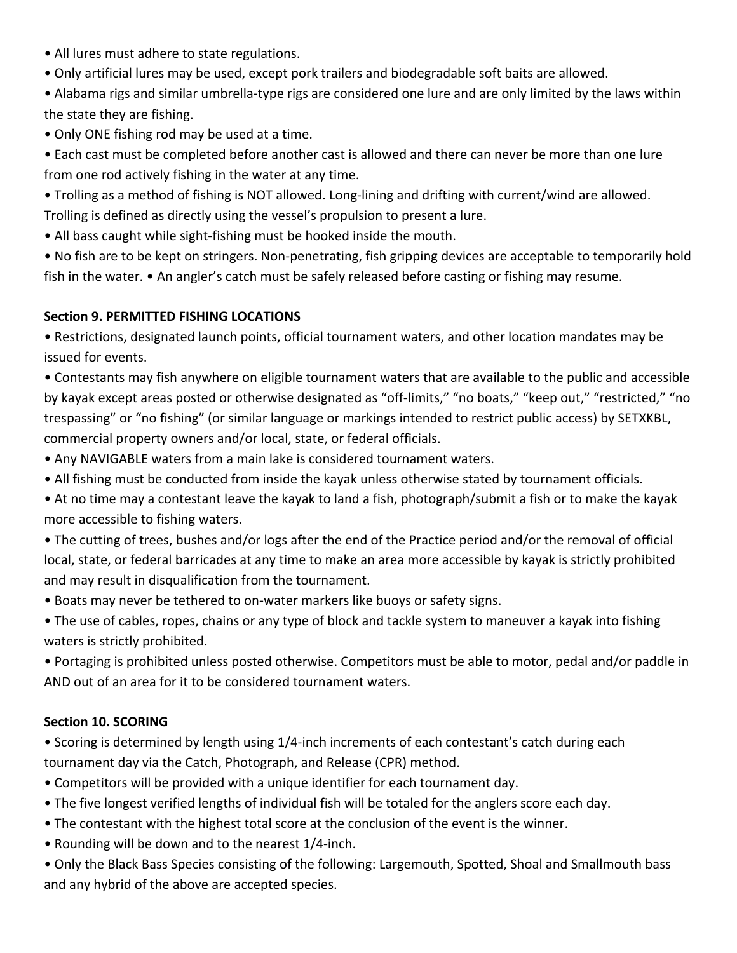- All lures must adhere to state regulations.
- Only artificial lures may be used, except pork trailers and biodegradable soft baits are allowed.
- Alabama rigs and similar umbrella-type rigs are considered one lure and are only limited by the laws within the state they are fishing.
- Only ONE fishing rod may be used at a time.
- Each cast must be completed before another cast is allowed and there can never be more than one lure from one rod actively fishing in the water at any time.
- Trolling as a method of fishing is NOT allowed. Long-lining and drifting with current/wind are allowed.
- Trolling is defined as directly using the vessel's propulsion to present a lure.
- All bass caught while sight-fishing must be hooked inside the mouth.
- No fish are to be kept on stringers. Non-penetrating, fish gripping devices are acceptable to temporarily hold fish in the water. • An angler's catch must be safely released before casting or fishing may resume.

## **Section 9. PERMITTED FISHING LOCATIONS**

• Restrictions, designated launch points, official tournament waters, and other location mandates may be issued for events.

• Contestants may fish anywhere on eligible tournament waters that are available to the public and accessible by kayak except areas posted or otherwise designated as "off-limits," "no boats," "keep out," "restricted," "no trespassing" or "no fishing" (or similar language or markings intended to restrict public access) by SETXKBL, commercial property owners and/or local, state, or federal officials.

- Any NAVIGABLE waters from a main lake is considered tournament waters.
- All fishing must be conducted from inside the kayak unless otherwise stated by tournament officials.
- At no time may a contestant leave the kayak to land a fish, photograph/submit a fish or to make the kayak more accessible to fishing waters.
- The cutting of trees, bushes and/or logs after the end of the Practice period and/or the removal of official local, state, or federal barricades at any time to make an area more accessible by kayak is strictly prohibited and may result in disqualification from the tournament.
- Boats may never be tethered to on-water markers like buoys or safety signs.
- The use of cables, ropes, chains or any type of block and tackle system to maneuver a kayak into fishing waters is strictly prohibited.
- Portaging is prohibited unless posted otherwise. Competitors must be able to motor, pedal and/or paddle in AND out of an area for it to be considered tournament waters.

## **Section 10. SCORING**

• Scoring is determined by length using 1/4-inch increments of each contestant's catch during each tournament day via the Catch, Photograph, and Release (CPR) method.

- Competitors will be provided with a unique identifier for each tournament day.
- The five longest verified lengths of individual fish will be totaled for the anglers score each day.
- The contestant with the highest total score at the conclusion of the event is the winner.
- Rounding will be down and to the nearest 1/4-inch.

• Only the Black Bass Species consisting of the following: Largemouth, Spotted, Shoal and Smallmouth bass and any hybrid of the above are accepted species.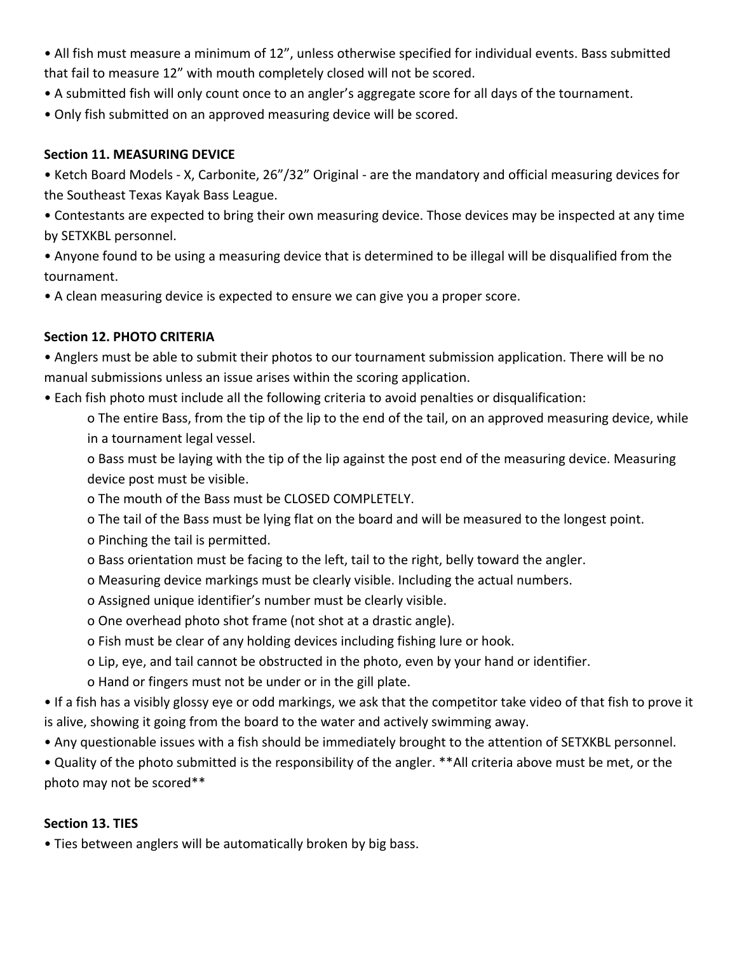- All fish must measure a minimum of 12", unless otherwise specified for individual events. Bass submitted that fail to measure 12" with mouth completely closed will not be scored.
- A submitted fish will only count once to an angler's aggregate score for all days of the tournament.
- Only fish submitted on an approved measuring device will be scored.

### **Section 11. MEASURING DEVICE**

• Ketch Board Models - X, Carbonite, 26"/32" Original - are the mandatory and official measuring devices for the Southeast Texas Kayak Bass League.

• Contestants are expected to bring their own measuring device. Those devices may be inspected at any time by SETXKBL personnel.

• Anyone found to be using a measuring device that is determined to be illegal will be disqualified from the tournament. 

• A clean measuring device is expected to ensure we can give you a proper score.

## **Section 12. PHOTO CRITERIA**

• Anglers must be able to submit their photos to our tournament submission application. There will be no manual submissions unless an issue arises within the scoring application.

• Each fish photo must include all the following criteria to avoid penalties or disqualification:

o The entire Bass, from the tip of the lip to the end of the tail, on an approved measuring device, while in a tournament legal vessel.

o Bass must be laying with the tip of the lip against the post end of the measuring device. Measuring device post must be visible.

- o The mouth of the Bass must be CLOSED COMPLETELY.
- o The tail of the Bass must be lying flat on the board and will be measured to the longest point.
- o Pinching the tail is permitted.
- o Bass orientation must be facing to the left, tail to the right, belly toward the angler.
- o Measuring device markings must be clearly visible. Including the actual numbers.
- o Assigned unique identifier's number must be clearly visible.
- o One overhead photo shot frame (not shot at a drastic angle).
- o Fish must be clear of any holding devices including fishing lure or hook.
- o Lip, eye, and tail cannot be obstructed in the photo, even by your hand or identifier.
- o Hand or fingers must not be under or in the gill plate.

• If a fish has a visibly glossy eye or odd markings, we ask that the competitor take video of that fish to prove it is alive, showing it going from the board to the water and actively swimming away.

• Any questionable issues with a fish should be immediately brought to the attention of SETXKBL personnel.

• Quality of the photo submitted is the responsibility of the angler. \*\*All criteria above must be met, or the photo may not be scored\*\*

### **Section 13. TIES**

• Ties between anglers will be automatically broken by big bass.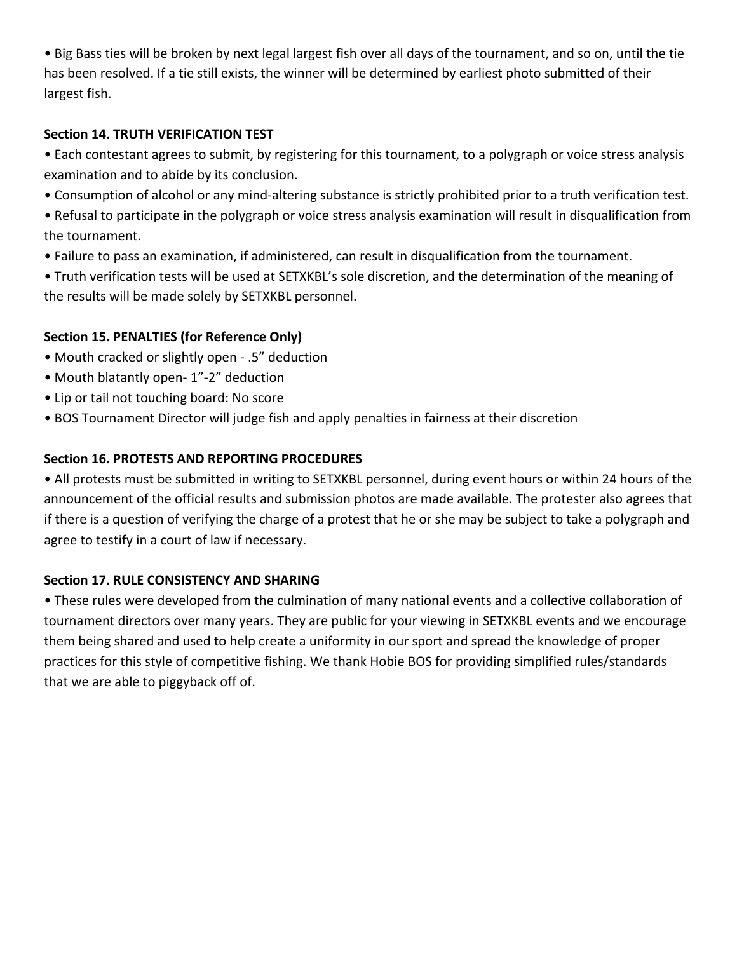• Big Bass ties will be broken by next legal largest fish over all days of the tournament, and so on, until the tie has been resolved. If a tie still exists, the winner will be determined by earliest photo submitted of their largest fish.

### **Section 14. TRUTH VERIFICATION TEST**

• Each contestant agrees to submit, by registering for this tournament, to a polygraph or voice stress analysis examination and to abide by its conclusion.

- Consumption of alcohol or any mind-altering substance is strictly prohibited prior to a truth verification test.
- Refusal to participate in the polygraph or voice stress analysis examination will result in disqualification from the tournament.
- Failure to pass an examination, if administered, can result in disqualification from the tournament.

• Truth verification tests will be used at SETXKBL's sole discretion, and the determination of the meaning of the results will be made solely by SETXKBL personnel.

## **Section 15. PENALTIES (for Reference Only)**

- Mouth cracked or slightly open .5" deduction
- Mouth blatantly open- 1"-2" deduction
- Lip or tail not touching board: No score
- BOS Tournament Director will judge fish and apply penalties in fairness at their discretion

## **Section 16. PROTESTS AND REPORTING PROCEDURES**

• All protests must be submitted in writing to SETXKBL personnel, during event hours or within 24 hours of the announcement of the official results and submission photos are made available. The protester also agrees that if there is a question of verifying the charge of a protest that he or she may be subject to take a polygraph and agree to testify in a court of law if necessary.

### **Section 17. RULE CONSISTENCY AND SHARING**

• These rules were developed from the culmination of many national events and a collective collaboration of tournament directors over many years. They are public for your viewing in SETXKBL events and we encourage them being shared and used to help create a uniformity in our sport and spread the knowledge of proper practices for this style of competitive fishing. We thank Hobie BOS for providing simplified rules/standards that we are able to piggyback off of.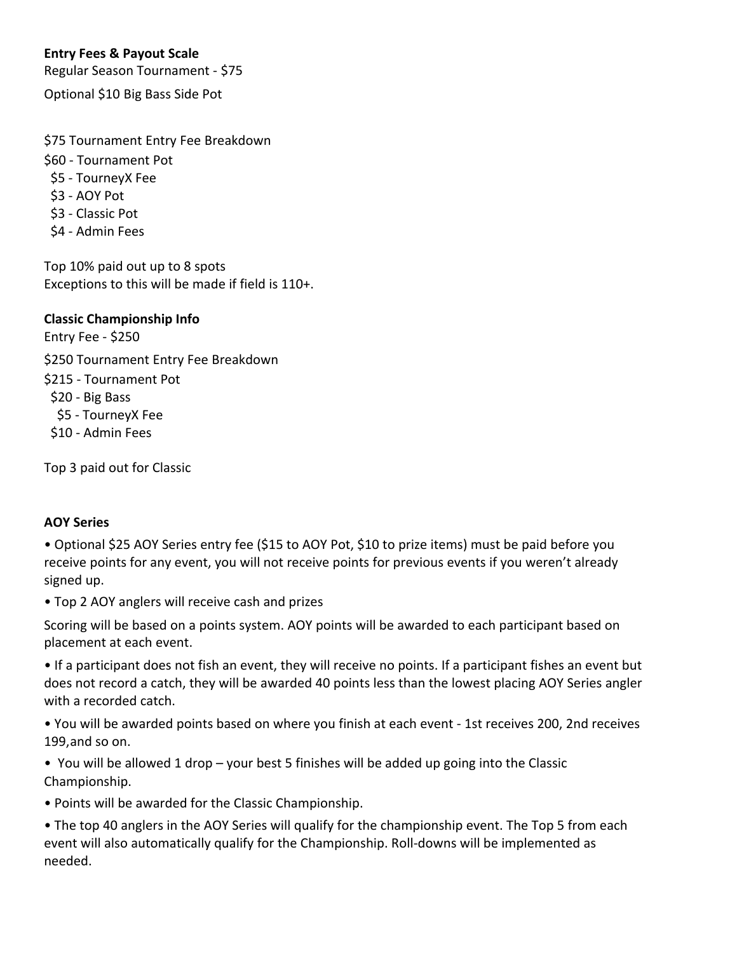## **Entry Fees & Payout Scale**

Regular Season Tournament - \$75

Optional \$10 Big Bass Side Pot

\$75 Tournament Entry Fee Breakdown

\$60 - Tournament Pot

- \$5 TourneyX Fee
- \$3 AOY Pot
- \$3 Classic Pot
- \$4 Admin Fees

Top 10% paid out up to 8 spots Exceptions to this will be made if field is 110+.

**Classic Championship Info**

Entry Fee - \$250 \$250 Tournament Entry Fee Breakdown

\$215 - Tournament Pot

\$20 - Big Bass

\$5 - TourneyX Fee

\$10 - Admin Fees

Top 3 paid out for Classic

### **AOY Series**

• Optional \$25 AOY Series entry fee (\$15 to AOY Pot, \$10 to prize items) must be paid before you receive points for any event, you will not receive points for previous events if you weren't already signed up.

• Top 2 AOY anglers will receive cash and prizes

Scoring will be based on a points system. AOY points will be awarded to each participant based on placement at each event.

• If a participant does not fish an event, they will receive no points. If a participant fishes an event but does not record a catch, they will be awarded 40 points less than the lowest placing AOY Series angler with a recorded catch.

• You will be awarded points based on where you finish at each event - 1st receives 200, 2nd receives 199, and so on.

• You will be allowed 1 drop – your best 5 finishes will be added up going into the Classic Championship.

• Points will be awarded for the Classic Championship.

• The top 40 anglers in the AOY Series will qualify for the championship event. The Top 5 from each event will also automatically qualify for the Championship. Roll-downs will be implemented as needed.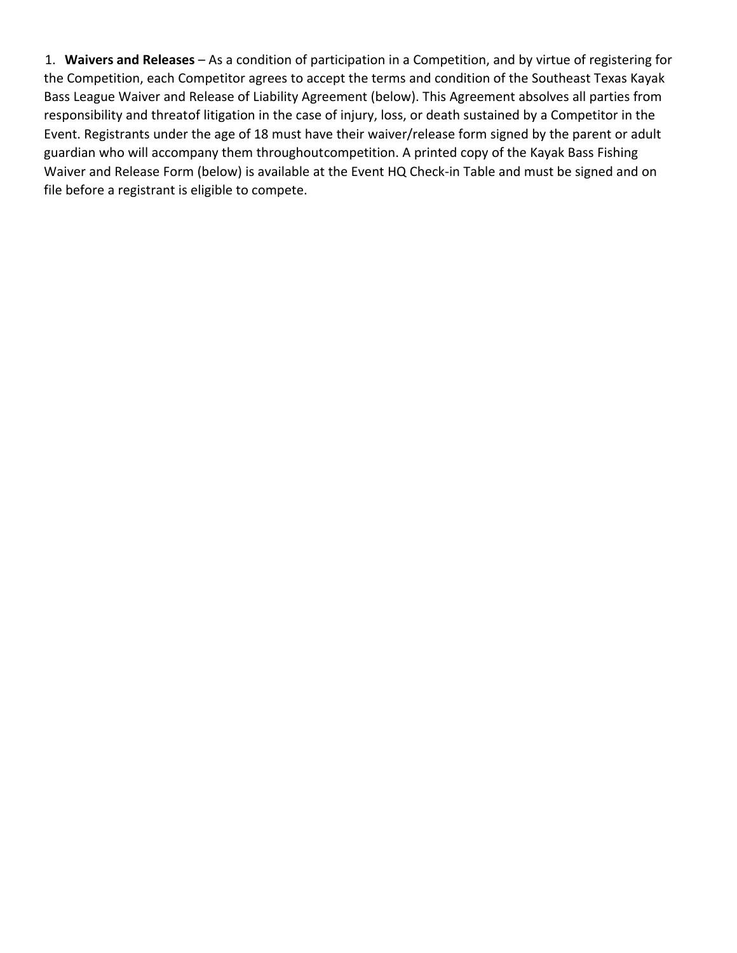1. Waivers and Releases – As a condition of participation in a Competition, and by virtue of registering for the Competition, each Competitor agrees to accept the terms and condition of the Southeast Texas Kayak Bass League Waiver and Release of Liability Agreement (below). This Agreement absolves all parties from responsibility and threatof litigation in the case of injury, loss, or death sustained by a Competitor in the Event. Registrants under the age of 18 must have their waiver/release form signed by the parent or adult guardian who will accompany them throughoutcompetition. A printed copy of the Kayak Bass Fishing Waiver and Release Form (below) is available at the Event HQ Check-in Table and must be signed and on file before a registrant is eligible to compete.